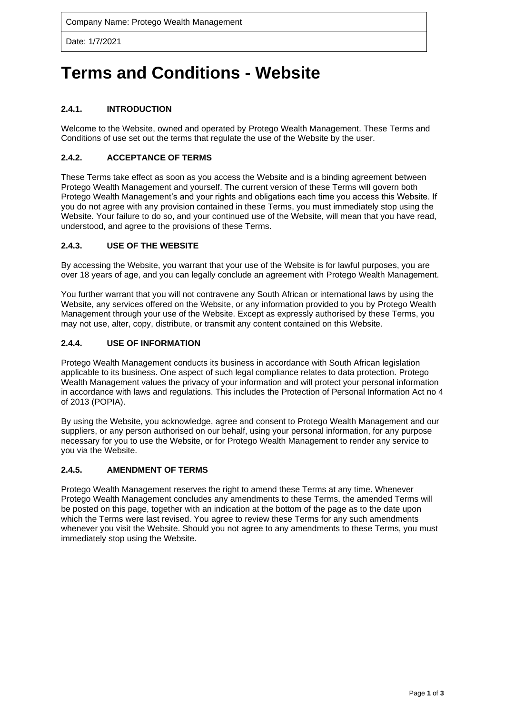Date: 1/7/2021

# **Terms and Conditions - Website**

# **2.4.1. INTRODUCTION**

Welcome to the Website, owned and operated by Protego Wealth Management. These Terms and Conditions of use set out the terms that regulate the use of the Website by the user.

## **2.4.2. ACCEPTANCE OF TERMS**

These Terms take effect as soon as you access the Website and is a binding agreement between Protego Wealth Management and yourself. The current version of these Terms will govern both Protego Wealth Management's and your rights and obligations each time you access this Website. If you do not agree with any provision contained in these Terms, you must immediately stop using the Website. Your failure to do so, and your continued use of the Website, will mean that you have read, understood, and agree to the provisions of these Terms.

## **2.4.3. USE OF THE WEBSITE**

By accessing the Website, you warrant that your use of the Website is for lawful purposes, you are over 18 years of age, and you can legally conclude an agreement with Protego Wealth Management.

You further warrant that you will not contravene any South African or international laws by using the Website, any services offered on the Website, or any information provided to you by Protego Wealth Management through your use of the Website. Except as expressly authorised by these Terms, you may not use, alter, copy, distribute, or transmit any content contained on this Website.

# **2.4.4. USE OF INFORMATION**

Protego Wealth Management conducts its business in accordance with South African legislation applicable to its business. One aspect of such legal compliance relates to data protection. Protego Wealth Management values the privacy of your information and will protect your personal information in accordance with laws and regulations. This includes the Protection of Personal Information Act no 4 of 2013 (POPIA).

By using the Website, you acknowledge, agree and consent to Protego Wealth Management and our suppliers, or any person authorised on our behalf, using your personal information, for any purpose necessary for you to use the Website, or for Protego Wealth Management to render any service to you via the Website.

## **2.4.5. AMENDMENT OF TERMS**

Protego Wealth Management reserves the right to amend these Terms at any time. Whenever Protego Wealth Management concludes any amendments to these Terms, the amended Terms will be posted on this page, together with an indication at the bottom of the page as to the date upon which the Terms were last revised. You agree to review these Terms for any such amendments whenever you visit the Website. Should you not agree to any amendments to these Terms, you must immediately stop using the Website.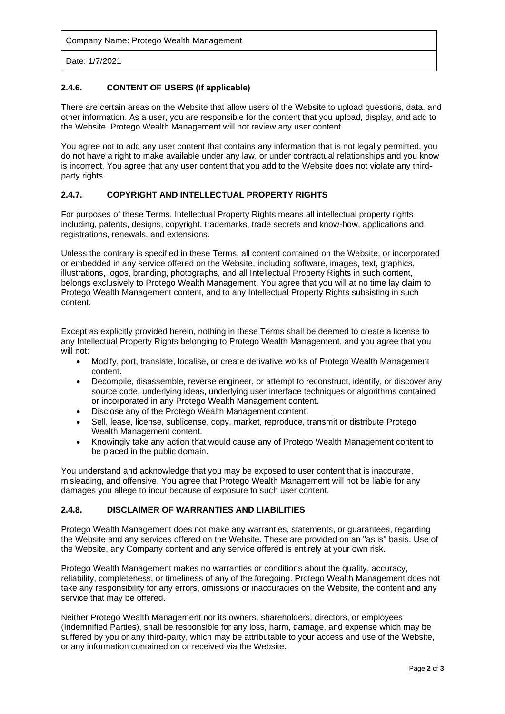Company Name: Protego Wealth Management

Date: 1/7/2021

## **2.4.6. CONTENT OF USERS (If applicable)**

There are certain areas on the Website that allow users of the Website to upload questions, data, and other information. As a user, you are responsible for the content that you upload, display, and add to the Website. Protego Wealth Management will not review any user content.

You agree not to add any user content that contains any information that is not legally permitted, you do not have a right to make available under any law, or under contractual relationships and you know is incorrect. You agree that any user content that you add to the Website does not violate any thirdparty rights.

## **2.4.7. COPYRIGHT AND INTELLECTUAL PROPERTY RIGHTS**

For purposes of these Terms, Intellectual Property Rights means all intellectual property rights including, patents, designs, copyright, trademarks, trade secrets and know-how, applications and registrations, renewals, and extensions.

Unless the contrary is specified in these Terms, all content contained on the Website, or incorporated or embedded in any service offered on the Website, including software, images, text, graphics, illustrations, logos, branding, photographs, and all Intellectual Property Rights in such content, belongs exclusively to Protego Wealth Management. You agree that you will at no time lay claim to Protego Wealth Management content, and to any Intellectual Property Rights subsisting in such content.

Except as explicitly provided herein, nothing in these Terms shall be deemed to create a license to any Intellectual Property Rights belonging to Protego Wealth Management, and you agree that you will not:

- Modify, port, translate, localise, or create derivative works of Protego Wealth Management content.
- Decompile, disassemble, reverse engineer, or attempt to reconstruct, identify, or discover any source code, underlying ideas, underlying user interface techniques or algorithms contained or incorporated in any Protego Wealth Management content.
- Disclose any of the Protego Wealth Management content.
- Sell, lease, license, sublicense, copy, market, reproduce, transmit or distribute Protego Wealth Management content.
- Knowingly take any action that would cause any of Protego Wealth Management content to be placed in the public domain.

You understand and acknowledge that you may be exposed to user content that is inaccurate, misleading, and offensive. You agree that Protego Wealth Management will not be liable for any damages you allege to incur because of exposure to such user content.

## **2.4.8. DISCLAIMER OF WARRANTIES AND LIABILITIES**

Protego Wealth Management does not make any warranties, statements, or guarantees, regarding the Website and any services offered on the Website. These are provided on an "as is" basis. Use of the Website, any Company content and any service offered is entirely at your own risk.

Protego Wealth Management makes no warranties or conditions about the quality, accuracy, reliability, completeness, or timeliness of any of the foregoing. Protego Wealth Management does not take any responsibility for any errors, omissions or inaccuracies on the Website, the content and any service that may be offered.

Neither Protego Wealth Management nor its owners, shareholders, directors, or employees (Indemnified Parties), shall be responsible for any loss, harm, damage, and expense which may be suffered by you or any third-party, which may be attributable to your access and use of the Website, or any information contained on or received via the Website.